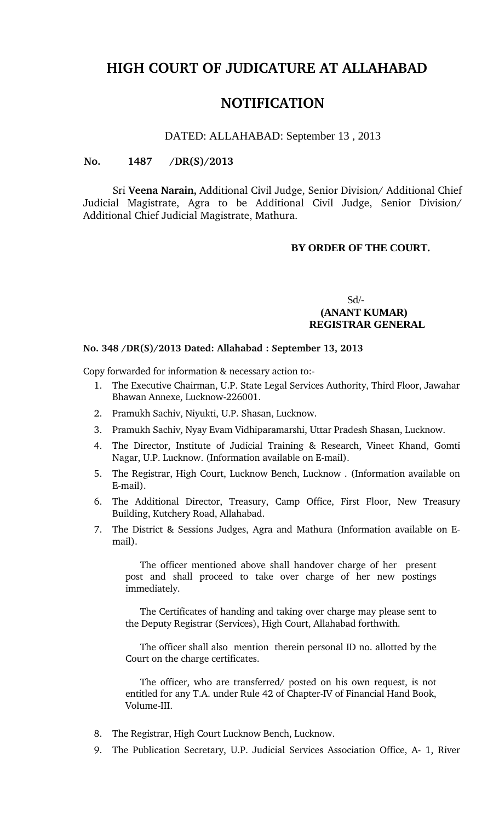# **HIGH COURT OF JUDICATURE AT ALLAHABAD**

# **NOTIFICATION**

#### DATED: ALLAHABAD: September 13 , 2013

#### **No. 1487 /DR(S)/2013**

Sri **Veena Narain,** Additional Civil Judge, Senior Division/ Additional Chief Judicial Magistrate, Agra to be Additional Civil Judge, Senior Division/ Additional Chief Judicial Magistrate, Mathura.

#### **BY ORDER OF THE COURT.**

### Sd/-  **(ANANT KUMAR) REGISTRAR GENERAL**

#### **No. 348 /DR(S)/2013 Dated: Allahabad : September 13, 2013**

Copy forwarded for information & necessary action to:

- 1. The Executive Chairman, U.P. State Legal Services Authority, Third Floor, Jawahar Bhawan Annexe, Lucknow-226001.
- 2. Pramukh Sachiv, Niyukti, U.P. Shasan, Lucknow.
- 3. Pramukh Sachiv, Nyay Evam Vidhiparamarshi, Uttar Pradesh Shasan, Lucknow.
- 4. The Director, Institute of Judicial Training & Research, Vineet Khand, Gomti Nagar, U.P. Lucknow. (Information available on E-mail).
- 5. The Registrar, High Court, Lucknow Bench, Lucknow . (Information available on E-mail).
- 6. The Additional Director, Treasury, Camp Office, First Floor, New Treasury Building, Kutchery Road, Allahabad.
- 7. The District & Sessions Judges, Agra and Mathura (Information available on Email).

The officer mentioned above shall handover charge of her present post and shall proceed to take over charge of her new postings immediately.

The Certificates of handing and taking over charge may please sent to the Deputy Registrar (Services), High Court, Allahabad forthwith.

The officer shall also mention therein personal ID no. allotted by the Court on the charge certificates.

The officer, who are transferred/ posted on his own request, is not entitled for any T.A. under Rule 42 of Chapter-IV of Financial Hand Book, Volume-III.

- 8. The Registrar, High Court Lucknow Bench, Lucknow.
- 9. The Publication Secretary, U.P. Judicial Services Association Office, A- 1, River